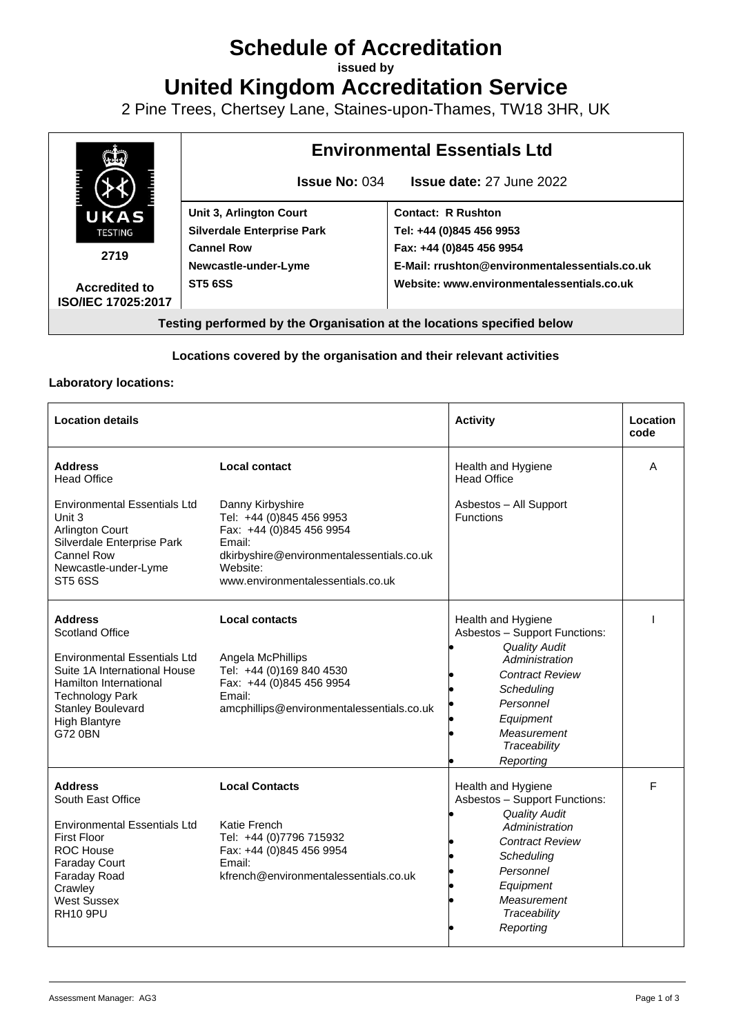# **Schedule of Accreditation**

**issued by**

**United Kingdom Accreditation Service**

2 Pine Trees, Chertsey Lane, Staines-upon-Thames, TW18 3HR, UK



### **Locations covered by the organisation and their relevant activities**

#### **Laboratory locations:**

| <b>Location details</b>                                                                                                                                                                                                     |                                                                                                                                                                                  | <b>Activity</b>                                                                                                                                                                                             | Location<br>code |
|-----------------------------------------------------------------------------------------------------------------------------------------------------------------------------------------------------------------------------|----------------------------------------------------------------------------------------------------------------------------------------------------------------------------------|-------------------------------------------------------------------------------------------------------------------------------------------------------------------------------------------------------------|------------------|
| <b>Address</b><br><b>Head Office</b>                                                                                                                                                                                        | Local contact                                                                                                                                                                    | Health and Hygiene<br><b>Head Office</b>                                                                                                                                                                    | A                |
| <b>Environmental Essentials Ltd</b><br>Unit 3<br><b>Arlington Court</b><br>Silverdale Enterprise Park<br>Cannel Row<br>Newcastle-under-Lyme<br><b>ST5 6SS</b>                                                               | Danny Kirbyshire<br>Tel: +44 (0)845 456 9953<br>Fax: +44 (0)845 456 9954<br>Email:<br>dkirbyshire@environmentalessentials.co.uk<br>Website:<br>www.environmentalessentials.co.uk | Asbestos - All Support<br><b>Functions</b>                                                                                                                                                                  |                  |
| <b>Address</b><br>Scotland Office<br><b>Environmental Essentials Ltd</b><br>Suite 1A International House<br>Hamilton International<br><b>Technology Park</b><br><b>Stanley Boulevard</b><br><b>High Blantyre</b><br>G72 0BN | <b>Local contacts</b><br>Angela McPhillips<br>Tel: +44 (0)169 840 4530<br>Fax: +44 (0)845 456 9954<br>Email:<br>amcphillips@environmentalessentials.co.uk                        | Health and Hygiene<br>Asbestos - Support Functions:<br><b>Quality Audit</b><br>Administration<br><b>Contract Review</b><br>Scheduling<br>Personnel<br>Equipment<br>Measurement<br>Traceability<br>Reporting |                  |
| <b>Address</b><br>South East Office<br><b>Environmental Essentials Ltd</b><br><b>First Floor</b><br><b>ROC House</b><br><b>Faraday Court</b><br>Faraday Road<br>Crawley<br>West Sussex<br><b>RH10 9PU</b>                   | <b>Local Contacts</b><br>Katie French<br>Tel: +44 (0)7796 715932<br>Fax: +44 (0)845 456 9954<br>Email:<br>kfrench@environmentalessentials.co.uk                                  | Health and Hygiene<br>Asbestos - Support Functions:<br><b>Quality Audit</b><br>Administration<br><b>Contract Review</b><br>Scheduling<br>Personnel<br>Equipment<br>Measurement<br>Traceability<br>Reporting | F                |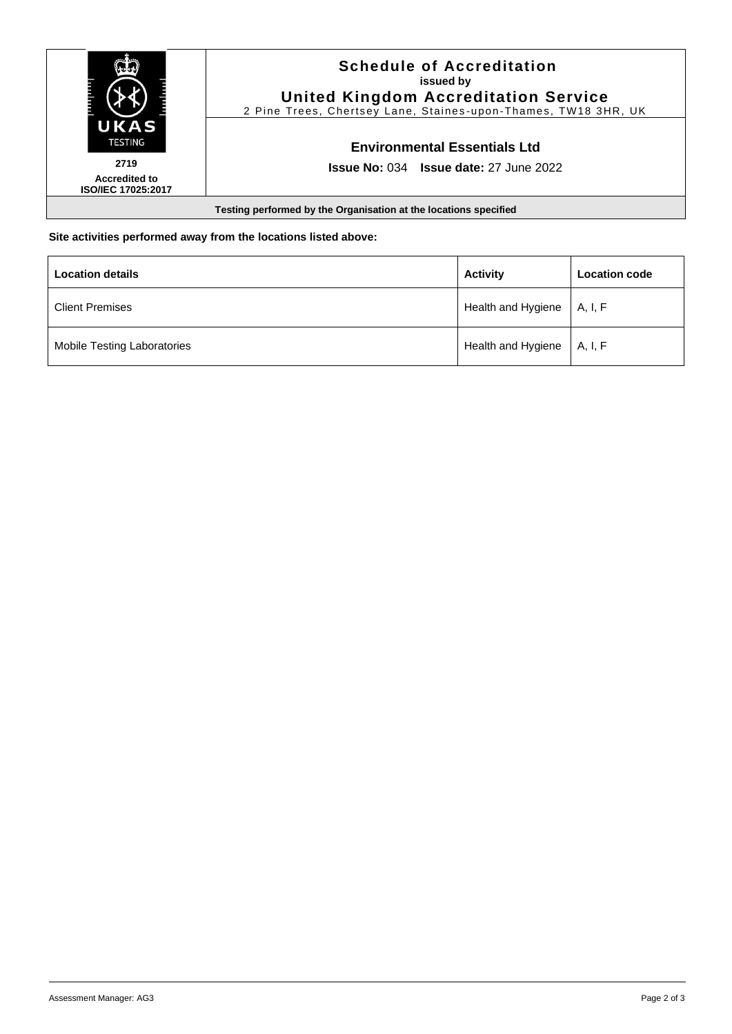

**Site activities performed away from the locations listed above:**

| <b>Location details</b>     | <b>Activity</b>                 | <b>Location code</b> |
|-----------------------------|---------------------------------|----------------------|
| <b>Client Premises</b>      | Health and Hygiene $\,$ A, I, F |                      |
| Mobile Testing Laboratories | Health and Hygiene   A, I, F    |                      |